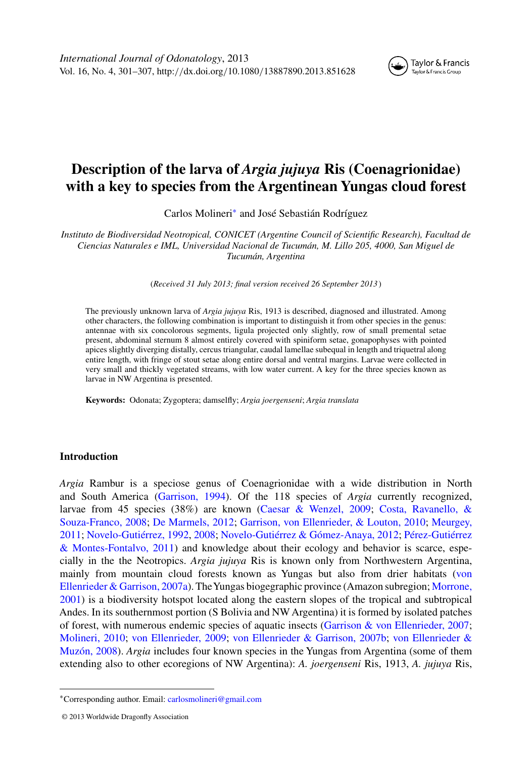# **Description of the larva of** *Argia jujuya* **Ris (Coenagrionidae) with a key to species from the Argentinean Yungas cloud forest**

Carlos Molineri<sup>∗</sup> and José Sebastián Rodríguez

*Instituto de Biodiversidad Neotropical, CONICET (Argentine Council of Scientific Research), Facultad de Ciencias Naturales e IML, Universidad Nacional de Tucumán, M. Lillo 205, 4000, San Miguel de Tucumán, Argentina*

(*Received 31 July 2013; final version received 26 September 2013* )

The previously unknown larva of *Argia jujuya* Ris, 1913 is described, diagnosed and illustrated. Among other characters, the following combination is important to distinguish it from other species in the genus: antennae with six concolorous segments, ligula projected only slightly, row of small premental setae present, abdominal sternum 8 almost entirely covered with spiniform setae, gonapophyses with pointed apices slightly diverging distally, cercus triangular, caudal lamellae subequal in length and triquetral along entire length, with fringe of stout setae along entire dorsal and ventral margins. Larvae were collected in very small and thickly vegetated streams, with low water current. A key for the three species known as larvae in NW Argentina is presented.

**Keywords:** Odonata; Zygoptera; damselfly; *Argia joergenseni*; *Argia translata*

# **Introduction**

*Argia* Rambur is a speciose genus of Coenagrionidae with a wide distribution in North and South America [\(Garrison, 1994\)](#page-6-0). Of the 118 species of *Argia* currently recognized, larvae from 45 sp[ecies](#page-6-0) [\(38%\)](#page-6-0) [are](#page-6-0) [known](#page-6-0) [\(Caesar & Wenzel, 2009;](#page-6-0) Costa, Ravanello, & Souza-Franco, 2008; [De Marmels, 2012;](#page-6-0) [Garrison, von Ellenrieder, & Louton, 2010;](#page-6-0) Meurgey, 2011; [Novelo-Gutiérrez, 1992,](#page-6-0) [2008;](#page-6-0) [Novelo-Gutiérrez & Gómez-Anaya, 2012;](#page-6-0) Pérez-Gutiérrez & Montes-Fontalvo, 2011) and knowledge about their ecology and behavior is scarce, especially in the the Neotropics. *Argia jujuya* Ris is known only from Northwestern Argentina, mainly from mountain cloud forests known as Yungas but also from drier habitats [\(von](#page-6-0) [Ellenrieder & Garrison, 2007a\).](#page-6-0) [TheYungas](#page-6-0) [biogegraphic](#page-6-0) [province](#page-6-0) [\(Amazon](#page-6-0) [subregion;](#page-6-0) Morrone, 2001) is a biodiversity hotspot located along the eastern slopes of the tropical and subtropical Andes. In its southernmost portion (S Bolivia and NW Argentina) it is formed by isolated patches of forest, with numerous endemic species of aquatic insects [\(Garrison & von Ellenrieder, 2007;](#page-6-0) [Molineri, 2010;](#page-6-0) [von Ellenrieder, 2009;](#page-6-0) [von Ellenrieder & Garrison, 2007b;](#page-6-0) [von Ellenrieder &](#page-6-0) [Muzón, 2008\)](#page-6-0). *Argia* includes four known species in the Yungas from Argentina (some of them extending also to other ecoregions of NW Argentina): *A. joergenseni* Ris, 1913, *A. jujuya* Ris,

<sup>∗</sup>Corresponding author. Email: [carlosmolineri@gmail.com](mailto:carlosmolineri@gmail.com)

<sup>© 2013</sup> Worldwide Dragonfly Association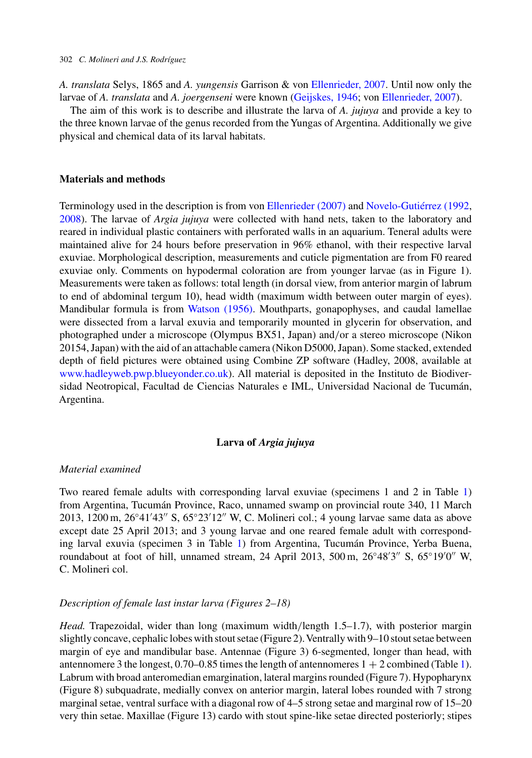*A. translata* Selys, 1865 and *A. yungensis* Garrison & von [Ellenrieder, 2007.](#page-6-0) Until now only the larvae of *A. translata* and *A. joergenseni* were known [\(Geijskes, 1946;](#page-6-0) von [Ellenrieder, 2007\)](#page-6-0).

The aim of this work is to describe and illustrate the larva of *A. jujuya* and provide a key to the three known larvae of the genus recorded from the Yungas of Argentina. Additionally we give physical and chemical data of its larval habitats.

## **Materials and methods**

Terminology used in the description is from von [Ellenrieder \(2007\)](#page-6-0) and [Novelo-Gutiérrez \(1992,](#page-6-0) [2008\)](#page-6-0). The larvae of *Argia jujuya* were collected with hand nets, taken to the laboratory and reared in individual plastic containers with perforated walls in an aquarium. Teneral adults were maintained alive for 24 hours before preservation in 96% ethanol, with their respective larval exuviae. Morphological description, measurements and cuticle pigmentation are from F0 reared exuviae only. Comments on hypodermal coloration are from younger larvae (as in Figure 1). Measurements were taken as follows: total length (in dorsal view, from anterior margin of labrum to end of abdominal tergum 10), head width (maximum width between outer margin of eyes). Mandibular formula is from [Watson \(1956\).](#page-6-0) Mouthparts, gonapophyses, and caudal lamellae were dissected from a larval exuvia and temporarily mounted in glycerin for observation, and photographed under a microscope (Olympus BX51, Japan) and*/*or a stereo microscope (Nikon 20154, Japan) with the aid of an attachable camera (Nikon D5000, Japan). Some stacked, extended depth of field pictures were obtained using Combine ZP software (Hadley, 2008, available at [www.hadleyweb.pwp.blueyonder.co.uk\)](file:www.hadleyweb.pwp.blueyonder.co.uk). All material is deposited in the Instituto de Biodiversidad Neotropical, Facultad de Ciencias Naturales e IML, Universidad Nacional de Tucumán, Argentina.

# **Larva of** *Argia jujuya*

## *Material examined*

Two reared female adults with corresponding larval exuviae (specimens 1 and 2 in Table [1\)](#page-2-0) from Argentina, Tucumán Province, Raco, unnamed swamp on provincial route 340, 11 March 2013, 1200 m, 26°41′43″ S, 65°23′12″ W, C. Molineri col.; 4 young larvae same data as above except date 25 April 2013; and 3 young larvae and one reared female adult with corresponding larval exuvia (specimen 3 in Table [1\)](#page-2-0) from Argentina, Tucumán Province, Yerba Buena, roundabout at foot of hill, unnamed stream, 24 April 2013, 500 m, 26°48′3″ S, 65°19′0″ W, C. Molineri col.

#### *Description of female last instar larva (Figures 2–18)*

*Head.* Trapezoidal, wider than long (maximum width*/*length 1.5–1.7), with posterior margin slightly concave, cephalic lobes with stout setae (Figure 2).Ventrally with 9–10 stout setae between margin of eye and mandibular base. Antennae (Figure 3) 6-segmented, longer than head, with antennomere 3 the longest,  $0.70-0.85$  times the length of antennomeres  $1 + 2$  combined (Table [1\)](#page-2-0). Labrum with broad anteromedian emargination, lateral margins rounded (Figure 7). Hypopharynx (Figure 8) subquadrate, medially convex on anterior margin, lateral lobes rounded with 7 strong marginal setae, ventral surface with a diagonal row of 4–5 strong setae and marginal row of 15–20 very thin setae. Maxillae (Figure 13) cardo with stout spine-like setae directed posteriorly; stipes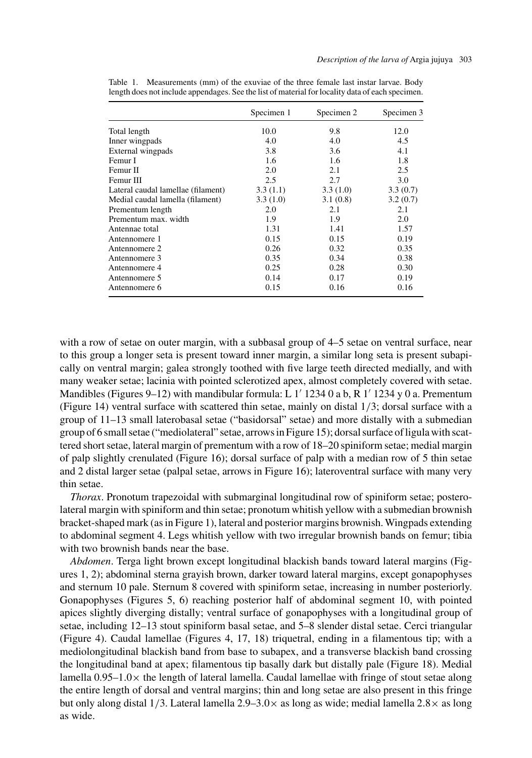| Specimen 3 | Specimen 2 | Specimen 1 |                                    |
|------------|------------|------------|------------------------------------|
| 12.0       | 9.8        | 10.0       | Total length                       |
| 4.5        | 4.0        | 4.0        | Inner wingpads                     |
| 4.1        | 3.6        | 3.8        | External wingpads                  |
| 1.8        | 1.6        | 1.6        | Femur I                            |
| 2.5        | 2.1        | 2.0        | Femur II                           |
| 3.0        | 2.7        | 2.5        | Femur III                          |
| 3.3(0.7)   | 3.3(1.0)   | 3.3(1.1)   | Lateral caudal lamellae (filament) |
| 3.2(0.7)   |            | 3.3(1.0)   | Medial caudal lamella (filament)   |
| 2.1        | 2.1        | 2.0        | Prementum length                   |
| 2.0        | 1.9        | 1.9        | Prementum max. width               |
| 1.57       | 1.41       | 1.31       | Antennae total                     |
| 0.19       | 0.15       | 0.15       | Antennomere 1                      |
| 0.35       | 0.32       | 0.26       | Antennomere 2                      |
| 0.38       | 0.34       | 0.35       | Antennomere 3                      |
| 0.30       | 0.28       | 0.25       | Antennomere 4                      |
| 0.19       | 0.17       | 0.14       | Antennomere 5                      |
| 0.16       | 0.16       | 0.15       | Antennomere 6                      |
|            | 3.1(0.8)   |            |                                    |

<span id="page-2-0"></span>Table 1. Measurements (mm) of the exuviae of the three female last instar larvae. Body length does not include appendages. See the list of material for locality data of each specimen.

with a row of setae on outer margin, with a subbasal group of 4–5 setae on ventral surface, near to this group a longer seta is present toward inner margin, a similar long seta is present subapically on ventral margin; galea strongly toothed with five large teeth directed medially, and with many weaker setae; lacinia with pointed sclerotized apex, almost completely covered with setae. Mandibles (Figures 9–12) with mandibular formula: L  $1'$  1234 0 a b, R  $1'$  1234 y 0 a. Prementum (Figure 14) ventral surface with scattered thin setae, mainly on distal 1*/*3; dorsal surface with a group of 11–13 small laterobasal setae ("basidorsal" setae) and more distally with a submedian group of 6 small setae ("mediolateral" setae, arrows in Figure 15); dorsal surface of ligula with scattered short setae, lateral margin of prementum with a row of 18–20 spiniform setae; medial margin of palp slightly crenulated (Figure 16); dorsal surface of palp with a median row of 5 thin setae and 2 distal larger setae (palpal setae, arrows in Figure 16); lateroventral surface with many very thin setae.

*Thorax*. Pronotum trapezoidal with submarginal longitudinal row of spiniform setae; posterolateral margin with spiniform and thin setae; pronotum whitish yellow with a submedian brownish bracket-shaped mark (as in Figure 1), lateral and posterior margins brownish. Wingpads extending to abdominal segment 4. Legs whitish yellow with two irregular brownish bands on femur; tibia with two brownish bands near the base.

*Abdomen*. Terga light brown except longitudinal blackish bands toward lateral margins (Figures 1, 2); abdominal sterna grayish brown, darker toward lateral margins, except gonapophyses and sternum 10 pale. Sternum 8 covered with spiniform setae, increasing in number posteriorly. Gonapophyses (Figures 5, 6) reaching posterior half of abdominal segment 10, with pointed apices slightly diverging distally; ventral surface of gonapophyses with a longitudinal group of setae, including 12–13 stout spiniform basal setae, and 5–8 slender distal setae. Cerci triangular (Figure 4). Caudal lamellae (Figures 4, 17, 18) triquetral, ending in a filamentous tip; with a mediolongitudinal blackish band from base to subapex, and a transverse blackish band crossing the longitudinal band at apex; filamentous tip basally dark but distally pale (Figure 18). Medial lamella  $0.95-1.0\times$  the length of lateral lamella. Caudal lamellae with fringe of stout setae along the entire length of dorsal and ventral margins; thin and long setae are also present in this fringe but only along distal 1*/*3. Lateral lamella 2.9–3*.*0× as long as wide; medial lamella 2*.*8× as long as wide.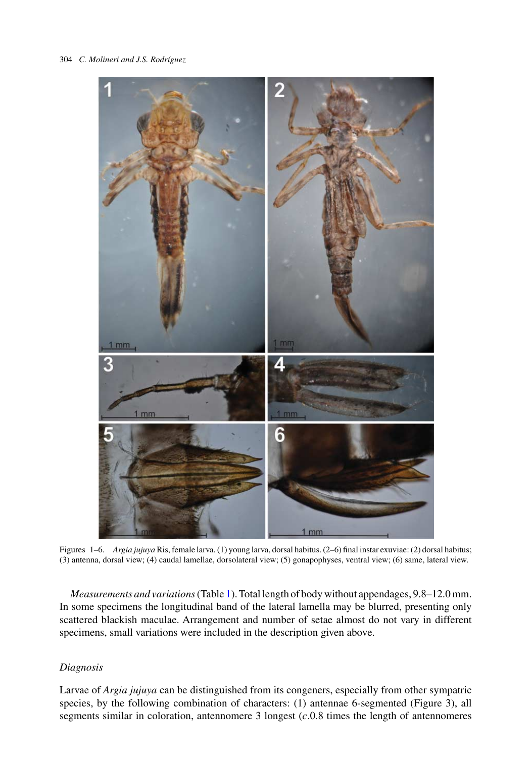

Figures 1–6. *Argia jujuya* Ris, female larva. (1) young larva, dorsal habitus. (2–6) final instar exuviae: (2) dorsal habitus; (3) antenna, dorsal view; (4) caudal lamellae, dorsolateral view; (5) gonapophyses, ventral view; (6) same, lateral view.

*Measurements and variations*(Table [1\)](#page-2-0). Total length of body without appendages, 9.8–12.0 mm. In some specimens the longitudinal band of the lateral lamella may be blurred, presenting only scattered blackish maculae. Arrangement and number of setae almost do not vary in different specimens, small variations were included in the description given above.

# *Diagnosis*

Larvae of *Argia jujuya* can be distinguished from its congeners, especially from other sympatric species, by the following combination of characters: (1) antennae 6-segmented (Figure 3), all segments similar in coloration, antennomere 3 longest (*c*.0.8 times the length of antennomeres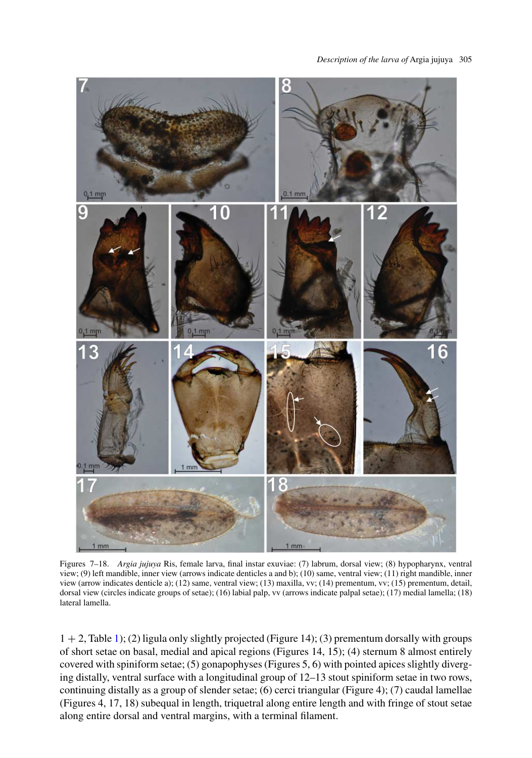#### *Description of the larva of* Argia jujuya 305



Figures 7–18. *Argia jujuya* Ris, female larva, final instar exuviae: (7) labrum, dorsal view; (8) hypopharynx, ventral view; (9) left mandible, inner view (arrows indicate denticles a and b); (10) same, ventral view; (11) right mandible, inner view (arrow indicates denticle a); (12) same, ventral view; (13) maxilla, vv; (14) prementum, vv; (15) prementum, detail, dorsal view (circles indicate groups of setae); (16) labial palp, vv (arrows indicate palpal setae); (17) medial lamella; (18) lateral lamella.

 $1 + 2$ , Table [1\)](#page-2-0); (2) ligula only slightly projected (Figure 14); (3) prementum dorsally with groups of short setae on basal, medial and apical regions (Figures 14, 15); (4) sternum 8 almost entirely covered with spiniform setae; (5) gonapophyses (Figures 5, 6) with pointed apices slightly diverging distally, ventral surface with a longitudinal group of 12–13 stout spiniform setae in two rows, continuing distally as a group of slender setae; (6) cerci triangular (Figure 4); (7) caudal lamellae (Figures 4, 17, 18) subequal in length, triquetral along entire length and with fringe of stout setae along entire dorsal and ventral margins, with a terminal filament.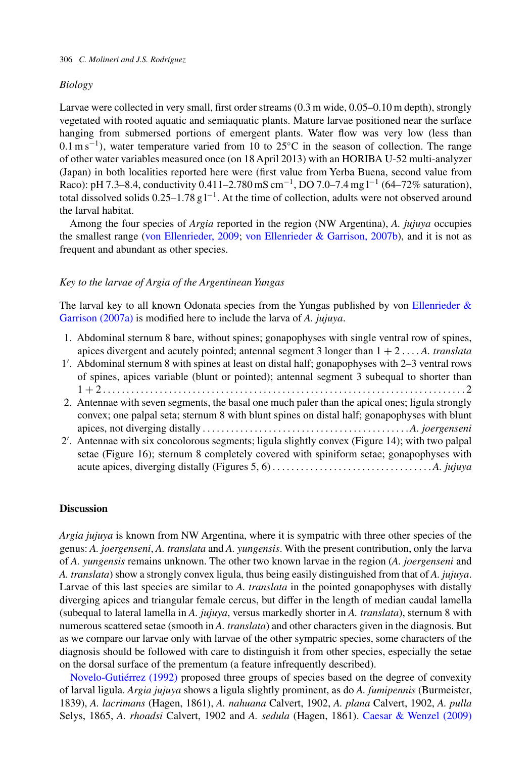# *Biology*

Larvae were collected in very small, first order streams (0.3 m wide, 0.05–0.10 m depth), strongly vegetated with rooted aquatic and semiaquatic plants. Mature larvae positioned near the surface hanging from submersed portions of emergent plants. Water flow was very low (less than 0.1 m s−1*)*, water temperature varied from 10 to 25◦C in the season of collection. The range of other water variables measured once (on 18 April 2013) with an HORIBA U-52 multi-analyzer (Japan) in both localities reported here were (first value from Yerba Buena, second value from Raco): pH 7.3–8.4, conductivity 0.411–2.780 mS cm<sup>-1</sup>, DO 7.0–7.4 mg l<sup>-1</sup> (64–72% saturation), total dissolved solids 0.25–1.78 g l<sup>-1</sup>. At the time of collection, adults were not observed around the larval habitat.

Among the four species of *Argia* reported in the region (NW Argentina), *A. jujuya* occupies the smallest range [\(von Ellenrieder, 2009;](#page-6-0) [von Ellenrieder & Garrison, 2007b\)](#page-6-0), and it is not as frequent and abundant as other species.

## *Key to the larvae of Argia of the Argentinean Yungas*

The larval key to all known Odonata species from the Yungas published by von Ellenrieder  $\&$ [Garrison \(2007a\)](#page-6-0) is modified here to include the larva of *A. jujuya*.

- 1. Abdominal sternum 8 bare, without spines; gonapophyses with single ventral row of spines, apices divergent and acutely pointed; antennal segment 3 longer than 1 + 2.... *A. translata*
- 1 . Abdominal sternum 8 with spines at least on distal half; gonapophyses with 2–3 ventral rows of spines, apices variable (blunt or pointed); antennal segment 3 subequal to shorter than 1 + 2.............................................................................2
- 2. Antennae with seven segments, the basal one much paler than the apical ones; ligula strongly convex; one palpal seta; sternum 8 with blunt spines on distal half; gonapophyses with blunt apices, not diverging distally ............................................*A. joergenseni*
- 2 . Antennae with six concolorous segments; ligula slightly convex (Figure 14); with two palpal setae (Figure 16); sternum 8 completely covered with spiniform setae; gonapophyses with acute apices, diverging distally (Figures 5, 6) .................................. *A. jujuya*

# **Discussion**

*Argia jujuya* is known from NW Argentina, where it is sympatric with three other species of the genus: *A. joergenseni*, *A. translata* and *A. yungensis*. With the present contribution, only the larva of *A. yungensis* remains unknown. The other two known larvae in the region (*A. joergenseni* and *A. translata*) show a strongly convex ligula, thus being easily distinguished from that of *A. jujuya*. Larvae of this last species are similar to *A. translata* in the pointed gonapophyses with distally diverging apices and triangular female cercus, but differ in the length of median caudal lamella (subequal to lateral lamella in *A. jujuya*, versus markedly shorter in *A. translata*), sternum 8 with numerous scattered setae (smooth in *A. translata*) and other characters given in the diagnosis. But as we compare our larvae only with larvae of the other sympatric species, some characters of the diagnosis should be followed with care to distinguish it from other species, especially the setae on the dorsal surface of the prementum (a feature infrequently described).

[Novelo-Gutiérrez \(1992\)](#page-6-0) proposed three groups of species based on the degree of convexity of larval ligula. *Argia jujuya* shows a ligula slightly prominent, as do *A. fumipennis* (Burmeister, 1839), *A. lacrimans* (Hagen, 1861), *A. nahuana* Calvert, 1902, *A. plana* Calvert, 1902, *A. pulla* Selys, 1865, *A. rhoadsi* Calvert, 1902 and *A. sedula* (Hagen, 1861). [Caesar & Wenzel \(2009\)](#page-6-0)